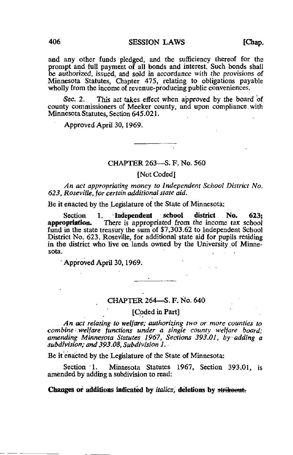and any other funds pledged, and the sufficiency thereof for the prompt and full payment of all bonds and interest. Such bonds shall be authorized, issued, and sold in accordance with the provisions of Minnesota Statutes, Chapter 475, relating to obligations payable wholly from the income of revenue-producing public conveniences.

Sec. 2. This act takes effect when approved by the board of county commissioners of Meeker county, and upon compliance, with Minnesota Statutes, Section 645.021.

Approved April 30,1969.

#### CHAPTER 263—S. F. No. 560

## [Not Coded]

An act appropriating money to Independent School District No. 623, Roseville, for certain additional state aid.

Be it enacted by the Legislature of the State of Minnesota:

Section 1. Independent school district No. 623;<br>appropriation. There is appropriated from the income tax school There is appropriated from the income tax school fund in the state treasury the sum of \$7,303.62 to Independent School District No. 623, Roseville, for additional state aid for pupils residing in the district who live on lands owned by the University of Minne-<br>sota. sota. . .

Approved April 30,1969.

#### CHAPTER 264—S. F. No. 640

[Coded in Part]

. An act relating to welfare; authorizing two or more counties to combine welfare functions under a single county welfare board; amending Minnesota Statutes 1967, Sections 393.01, by-adding a subdivision; and 393.08, Subdivision 1.

Be it enacted by the Legislature of the State of Minnesota:

Section 1. Minnesota Statutes 1967, Section 393.01, is amended by adding a subdivision to read:

### Changes or additions indicated by *italics*, deletions by strikeout.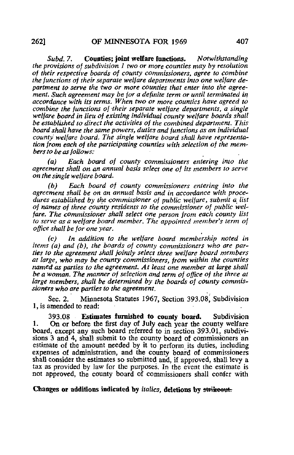Subd. 7. Counties: joint welfare functions. Notwithstanding the provisions of subdivision 1 two or more counties may by resolution of their respective boards of county commissioners, agree to combine the functions of their separate welfare departments into one welfare department to serve the two or more counties that enter into the agreement. Such agreement may be for a definite term or until terminated in accordance with its terms. When two or more counties have agreed to combine the functions of 'their separate welfare departments, a single welfare board in lieu of existing individual county welfare boards shall be established to direct the activities of the combined department. This board shall have the same powers, duties and functions as an individual county welfare board. The single welfare board shall have representation from each of the participating counties with selection of the members to be as follows:

(a) Each board of county commissioners entering into the agreement shall on an annual basis select one of its members to serve on the single welfare board.

(b) Each board of county commissioners entering into the agreement shall be on an annual basis and in accordance with procedures established by the commissioner of public welfare, submit a list of names of three county residents to the commissioner of public welfare. The commissioner shall select one person from each county list to serve as a welfare board member. The appointed member's term of office shall be for one year.

(c) In addition to the welfare board membership noted in items (a) and (b), the boards of county commissioners who are parties to the agreement shall jointly select three welfare board members at large, who may be county commissioners, from within the counties named as parties to the agreement. At least one member at large shall be a woman. The manner of selection and term of office of the three at large members, shall be determined by the boards of county commissioners who are parties to the agreement.

Sec. 2. Minnesota Statutes 1967, Section 393.08, Subdivision 1, is amended to read:

393.08 Estimates furnished to county board. Subdivision 1. On or before the first day of July each year the county welfare board, except any such board referred to in section 393.01, subdivisions 3 and 4, shall submit to the county board of commissioners an estimate of the amount needed by it to perform its duties, including expenses of administration, and the county board of commissioners shall consider the estimates so submitted and, if approved, shall levy a tax as provided by law for the purposes. In the event the estimate is not approved, the county board of commissioners shall confer with

# Changes or additions indicated by *italics*, deletions by strikeeut.